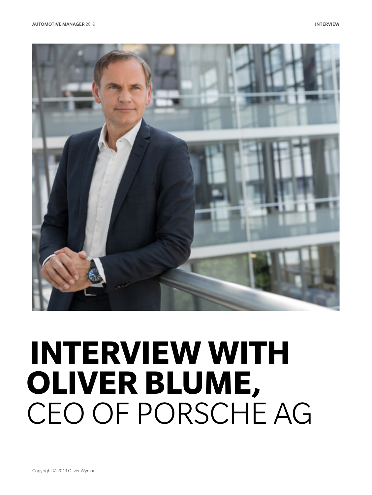



# **INTERVIEW WITH OLIVER BLUME,** CEO OF PORSCHE AG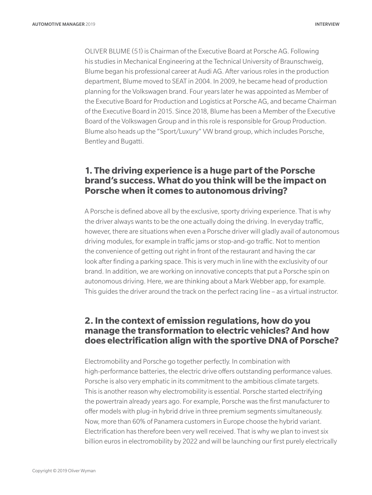OLIVER BLUME (51) is Chairman of the Executive Board at Porsche AG. Following his studies in Mechanical Engineering at the Technical University of Braunschweig, Blume began his professional career at Audi AG. After various roles in the production department, Blume moved to SEAT in 2004. In 2009, he became head of production planning for the Volkswagen brand. Four years later he was appointed as Member of the Executive Board for Production and Logistics at Porsche AG, and became Chairman of the Executive Board in 2015. Since 2018, Blume has been a Member of the Executive Board of the Volkswagen Group and in this role is responsible for Group Production. Blume also heads up the "Sport/Luxury" VW brand group, which includes Porsche, Bentley and Bugatti.

#### **1. The driving experience is a huge part of the Porsche brand's success. What do you think will be the impact on Porsche when it comes to autonomous driving?**

A Porsche is defined above all by the exclusive, sporty driving experience. That is why the driver always wants to be the one actually doing the driving. In everyday traffic, however, there are situations when even a Porsche driver will gladly avail of autonomous driving modules, for example in traffic jams or stop-and-go traffic. Not to mention the convenience of getting out right in front of the restaurant and having the car look after finding a parking space. This is very much in line with the exclusivity of our brand. In addition, we are working on innovative concepts that put a Porsche spin on autonomous driving. Here, we are thinking about a Mark Webber app, for example. This guides the driver around the track on the perfect racing line – as a virtual instructor.

## **2. In the context of emission regulations, how do you manage the transformation to electric vehicles? And how does electrification align with the sportive DNA of Porsche?**

Electromobility and Porsche go together perfectly. In combination with high-performance batteries, the electric drive offers outstanding performance values. Porsche is also very emphatic in its commitment to the ambitious climate targets. This is another reason why electromobility is essential. Porsche started electrifying the powertrain already years ago. For example, Porsche was the first manufacturer to offer models with plug-in hybrid drive in three premium segments simultaneously. Now, more than 60% of Panamera customers in Europe choose the hybrid variant. Electrification has therefore been very well received. That is why we plan to invest six billion euros in electromobility by 2022 and will be launching our first purely electrically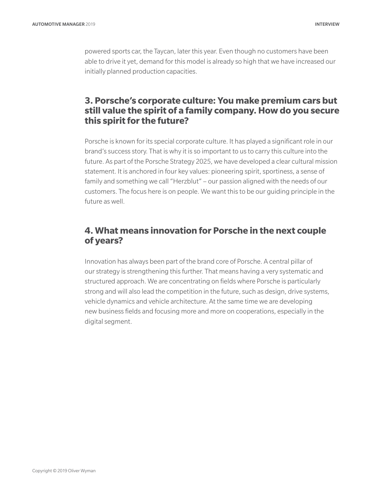powered sports car, the Taycan, later this year. Even though no customers have been able to drive it yet, demand for this model is already so high that we have increased our initially planned production capacities.

### **3. Porsche's corporate culture: You make premium cars but still value the spirit of a family company. How do you secure this spirit for the future?**

Porsche is known for its special corporate culture. It has played a significant role in our brand's success story. That is why it is so important to us to carry this culture into the future. As part of the Porsche Strategy 2025, we have developed a clear cultural mission statement. It is anchored in four key values: pioneering spirit, sportiness, a sense of family and something we call "Herzblut" – our passion aligned with the needs of our customers. The focus here is on people. We want this to be our guiding principle in the future as well.

## **4. What means innovation for Porsche in the next couple of years?**

Innovation has always been part of the brand core of Porsche. A central pillar of our strategy is strengthening this further. That means having a very systematic and structured approach. We are concentrating on fields where Porsche is particularly strong and will also lead the competition in the future, such as design, drive systems, vehicle dynamics and vehicle architecture. At the same time we are developing new business fields and focusing more and more on cooperations, especially in the digital segment.